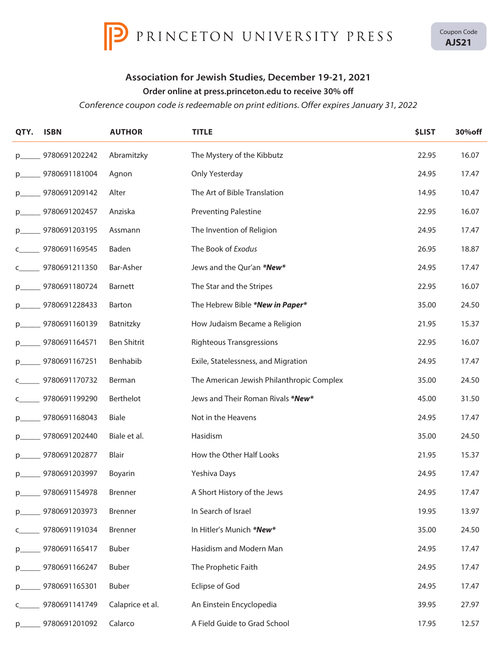

Coupon Code **AJS21**

## **Association for Jewish Studies, December 19-21, 2021**

## **Order online at press.princeton.edu to receive 30% off**

*Conference coupon code is redeemable on print editions. Offer expires January 31, 2022*

| QTY.        | <b>ISBN</b>   | <b>AUTHOR</b>    | <b>TITLE</b>                              | <b>\$LIST</b> | 30% off |
|-------------|---------------|------------------|-------------------------------------------|---------------|---------|
| $p_{\iota}$ | 9780691202242 | Abramitzky       | The Mystery of the Kibbutz                | 22.95         | 16.07   |
| p.          | 9780691181004 | Agnon            | Only Yesterday                            | 24.95         | 17.47   |
| p.          | 9780691209142 | Alter            | The Art of Bible Translation              | 14.95         | 10.47   |
|             | 9780691202457 | Anziska          | <b>Preventing Palestine</b>               | 22.95         | 16.07   |
|             | 9780691203195 | Assmann          | The Invention of Religion                 | 24.95         | 17.47   |
|             | 9780691169545 | Baden            | The Book of Exodus                        | 26.95         | 18.87   |
|             | 9780691211350 | Bar-Asher        | Jews and the Qur'an *New*                 | 24.95         | 17.47   |
|             | 9780691180724 | <b>Barnett</b>   | The Star and the Stripes                  | 22.95         | 16.07   |
|             | 9780691228433 | Barton           | The Hebrew Bible *New in Paper*           | 35.00         | 24.50   |
|             | 9780691160139 | Batnitzky        | How Judaism Became a Religion             | 21.95         | 15.37   |
|             | 9780691164571 | Ben Shitrit      | <b>Righteous Transgressions</b>           | 22.95         | 16.07   |
|             | 9780691167251 | Benhabib         | Exile, Statelessness, and Migration       | 24.95         | 17.47   |
|             | 9780691170732 | Berman           | The American Jewish Philanthropic Complex | 35.00         | 24.50   |
|             | 9780691199290 | Berthelot        | Jews and Their Roman Rivals *New*         | 45.00         | 31.50   |
| p.          | 9780691168043 | <b>Biale</b>     | Not in the Heavens                        | 24.95         | 17.47   |
| p.          | 9780691202440 | Biale et al.     | Hasidism                                  | 35.00         | 24.50   |
| p.          | 9780691202877 | Blair            | How the Other Half Looks                  | 21.95         | 15.37   |
|             | 9780691203997 | Boyarin          | Yeshiva Days                              | 24.95         | 17.47   |
| $p_{i}$     | 9780691154978 | <b>Brenner</b>   | A Short History of the Jews               | 24.95         | 17.47   |
| p.          | 9780691203973 | Brenner          | In Search of Israel                       | 19.95         | 13.97   |
| c           | 9780691191034 | Brenner          | In Hitler's Munich *New*                  | 35.00         | 24.50   |
| p.          | 9780691165417 | <b>Buber</b>     | Hasidism and Modern Man                   | 24.95         | 17.47   |
| p.          | 9780691166247 | <b>Buber</b>     | The Prophetic Faith                       | 24.95         | 17.47   |
| p.          | 9780691165301 | <b>Buber</b>     | Eclipse of God                            | 24.95         | 17.47   |
| c           | 9780691141749 | Calaprice et al. | An Einstein Encyclopedia                  | 39.95         | 27.97   |
| p           | 9780691201092 | Calarco          | A Field Guide to Grad School              | 17.95         | 12.57   |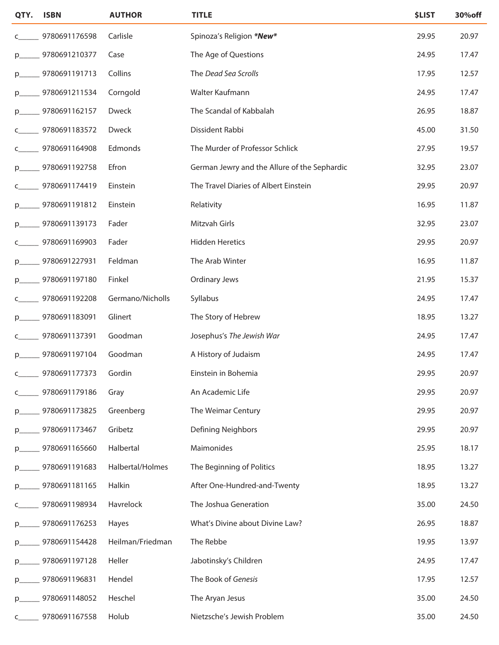| QTY.          | <b>ISBN</b>   | <b>AUTHOR</b>    | <b>TITLE</b>                                 | <b>\$LIST</b> | 30%off |
|---------------|---------------|------------------|----------------------------------------------|---------------|--------|
|               | 9780691176598 | Carlisle         | Spinoza's Religion *New*                     | 29.95         | 20.97  |
| p.            | 9780691210377 | Case             | The Age of Questions                         | 24.95         | 17.47  |
| $p_{i}$       | 9780691191713 | Collins          | The Dead Sea Scrolls                         | 17.95         | 12.57  |
| $p_{\text{}}$ | 9780691211534 | Corngold         | Walter Kaufmann                              | 24.95         | 17.47  |
| p.            | 9780691162157 | Dweck            | The Scandal of Kabbalah                      | 26.95         | 18.87  |
|               | 9780691183572 | Dweck            | Dissident Rabbi                              | 45.00         | 31.50  |
|               | 9780691164908 | Edmonds          | The Murder of Professor Schlick              | 27.95         | 19.57  |
| p.            | 9780691192758 | Efron            | German Jewry and the Allure of the Sephardic | 32.95         | 23.07  |
| c             | 9780691174419 | Einstein         | The Travel Diaries of Albert Einstein        | 29.95         | 20.97  |
| $p_{\text{}}$ | 9780691191812 | Einstein         | Relativity                                   | 16.95         | 11.87  |
| $p_{i}$       | 9780691139173 | Fader            | Mitzvah Girls                                | 32.95         | 23.07  |
| C             | 9780691169903 | Fader            | <b>Hidden Heretics</b>                       | 29.95         | 20.97  |
| p.            | 9780691227931 | Feldman          | The Arab Winter                              | 16.95         | 11.87  |
| p.            | 9780691197180 | Finkel           | <b>Ordinary Jews</b>                         | 21.95         | 15.37  |
|               | 9780691192208 | Germano/Nicholls | Syllabus                                     | 24.95         | 17.47  |
| $p_{\text{}}$ | 9780691183091 | Glinert          | The Story of Hebrew                          | 18.95         | 13.27  |
| c             | 9780691137391 | Goodman          | Josephus's The Jewish War                    | 24.95         | 17.47  |
| p.            | 9780691197104 | Goodman          | A History of Judaism                         | 24.95         | 17.47  |
| $\epsilon$    | 9780691177373 | Gordin           | Einstein in Bohemia                          | 29.95         | 20.97  |
| C             | 9780691179186 | Gray             | An Academic Life                             | 29.95         | 20.97  |
| $p_{i}$       | 9780691173825 | Greenberg        | The Weimar Century                           | 29.95         | 20.97  |
| $p_{-}$       | 9780691173467 | Gribetz          | Defining Neighbors                           | 29.95         | 20.97  |
| $p_{i}$       | 9780691165660 | Halbertal        | Maimonides                                   | 25.95         | 18.17  |
| p.            | 9780691191683 | Halbertal/Holmes | The Beginning of Politics                    | 18.95         | 13.27  |
| p.            | 9780691181165 | Halkin           | After One-Hundred-and-Twenty                 | 18.95         | 13.27  |
| C             | 9780691198934 | Havrelock        | The Joshua Generation                        | 35.00         | 24.50  |
| $p_{i}$       | 9780691176253 | Hayes            | What's Divine about Divine Law?              | 26.95         | 18.87  |
| $p_{i}$       | 9780691154428 | Heilman/Friedman | The Rebbe                                    | 19.95         | 13.97  |
| p.            | 9780691197128 | Heller           | Jabotinsky's Children                        | 24.95         | 17.47  |
| $p_{i}$       | 9780691196831 | Hendel           | The Book of Genesis                          | 17.95         | 12.57  |
| $p_{i}$       | 9780691148052 | Heschel          | The Aryan Jesus                              | 35.00         | 24.50  |
| C             | 9780691167558 | Holub            | Nietzsche's Jewish Problem                   | 35.00         | 24.50  |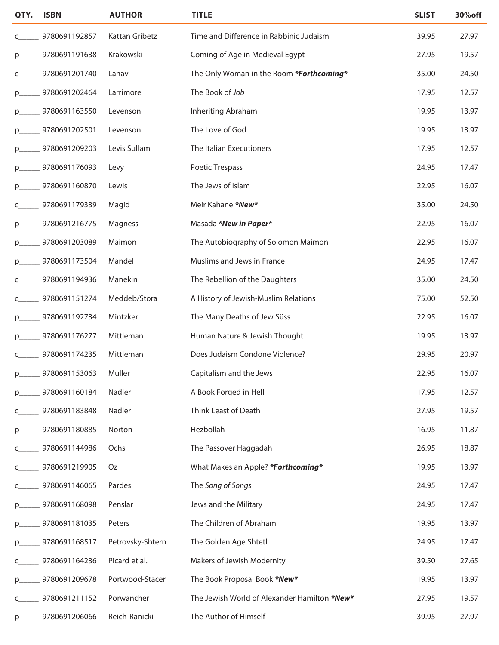| QTY.          | <b>ISBN</b>   | <b>AUTHOR</b>    | <b>TITLE</b>                                 | <b>\$LIST</b> | 30% off |
|---------------|---------------|------------------|----------------------------------------------|---------------|---------|
|               | 9780691192857 | Kattan Gribetz   | Time and Difference in Rabbinic Judaism      | 39.95         | 27.97   |
| p.            | 9780691191638 | Krakowski        | Coming of Age in Medieval Egypt              | 27.95         | 19.57   |
| C             | 9780691201740 | Lahav            | The Only Woman in the Room *Forthcoming*     | 35.00         | 24.50   |
| p.            | 9780691202464 | Larrimore        | The Book of Job                              | 17.95         | 12.57   |
| p.            | 9780691163550 | Levenson         | Inheriting Abraham                           | 19.95         | 13.97   |
| p.            | 9780691202501 | Levenson         | The Love of God                              | 19.95         | 13.97   |
|               | 9780691209203 | Levis Sullam     | The Italian Executioners                     | 17.95         | 12.57   |
| $p_{i}$       | 9780691176093 | Levy             | Poetic Trespass                              | 24.95         | 17.47   |
| p             | 9780691160870 | Lewis            | The Jews of Islam                            | 22.95         | 16.07   |
|               | 9780691179339 | Magid            | Meir Kahane *New*                            | 35.00         | 24.50   |
| $p_{i}$       | 9780691216775 | Magness          | Masada *New in Paper*                        | 22.95         | 16.07   |
| p.            | 9780691203089 | Maimon           | The Autobiography of Solomon Maimon          | 22.95         | 16.07   |
| $p_{\text{}}$ | 9780691173504 | Mandel           | Muslims and Jews in France                   | 24.95         | 17.47   |
|               | 9780691194936 | Manekin          | The Rebellion of the Daughters               | 35.00         | 24.50   |
|               | 9780691151274 | Meddeb/Stora     | A History of Jewish-Muslim Relations         | 75.00         | 52.50   |
| $p_{\text{}}$ | 9780691192734 | Mintzker         | The Many Deaths of Jew Süss                  | 22.95         | 16.07   |
| p.            | 9780691176277 | Mittleman        | Human Nature & Jewish Thought                | 19.95         | 13.97   |
|               | 9780691174235 | Mittleman        | Does Judaism Condone Violence?               | 29.95         | 20.97   |
| $p_{\text{}}$ | 9780691153063 | Muller           | Capitalism and the Jews                      | 22.95         | 16.07   |
| p.            | 9780691160184 | Nadler           | A Book Forged in Hell                        | 17.95         | 12.57   |
| c             | 9780691183848 | Nadler           | Think Least of Death                         | 27.95         | 19.57   |
| $p_{-}$       | 9780691180885 | Norton           | Hezbollah                                    | 16.95         | 11.87   |
| C             | 9780691144986 | Ochs             | The Passover Haggadah                        | 26.95         | 18.87   |
|               | 9780691219905 | Oz               | What Makes an Apple? *Forthcoming*           | 19.95         | 13.97   |
|               | 9780691146065 | Pardes           | The Song of Songs                            | 24.95         | 17.47   |
| $p_{i}$       | 9780691168098 | Penslar          | Jews and the Military                        | 24.95         | 17.47   |
| $p_{i}$       | 9780691181035 | Peters           | The Children of Abraham                      | 19.95         | 13.97   |
| $p_{i}$       | 9780691168517 | Petrovsky-Shtern | The Golden Age Shtetl                        | 24.95         | 17.47   |
| c             | 9780691164236 | Picard et al.    | Makers of Jewish Modernity                   | 39.50         | 27.65   |
| p.            | 9780691209678 | Portwood-Stacer  | The Book Proposal Book *New*                 | 19.95         | 13.97   |
|               | 9780691211152 | Porwancher       | The Jewish World of Alexander Hamilton *New* | 27.95         | 19.57   |
| $p_{\text{}}$ | 9780691206066 | Reich-Ranicki    | The Author of Himself                        | 39.95         | 27.97   |